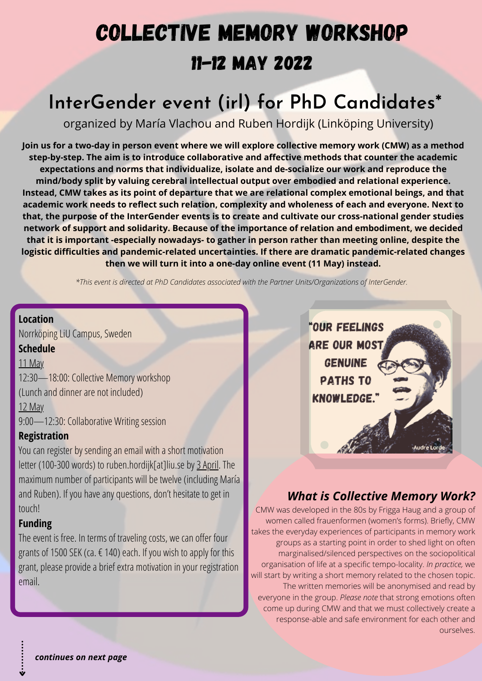# Collective Memory Workshop 11-12 May 2022

## **InterGender event (irl) for PhD Candidates\***

organized by María Vlachou and Ruben Hordijk (Linköping University)

Join us for a two-day in person event where we will explore collective memory work (CMW) as a method **step-by-step. The aim is to introduce collaborative and affective methods that counter the academic expectations and norms that individualize, isolate and de-socialize our work and reproduce the mind/body split by valuing cerebral intellectual output over embodied and relational experience. Instead, CMW takes as its point of departure that we are relational complex emotional beings, and that academic work needs to reflect such relation, complexity and wholeness of each and everyone. Next to that, the purpose of the InterGender events is to create and cultivate our cross-national gender studies network of support and solidarity. Because of the importance of relation and embodiment, we decided that it is important -especially nowadays- to gather in person rather than meeting online, despite the logistic difficulties and pandemic-related uncertainties. If there are dramatic pandemic-related changes then we will turn it into a one-day online event (11 May) instead.**

You can register by sending an email with a short motivation letter (100-300 words) to [ruben.hordijk\[at\]liu.se](mailto:ruben.hordijk@liu.se) by 3 April. The maximum number of participants will be twelve (including María and Ruben). If you have any questions, don't hesitate to get in touch!

### *What is Collective Memory Work?*

The event is free. In terms of traveling costs, we can offer four grants of 1500 SEK (ca.  $\epsilon$  140) each. If you wish to apply for this grant, please provide a brief extra motivation in your registration email.

CMW was developed in the 80s by Frigga Haug and a group of women called frauenformen (women's forms). Briefly, CMW takes the everyday experiences of participants in memory work groups as a starting point in order to shed light on often marginalised/silenced perspectives on the sociopolitical organisation of life at a specific tempo-locality. *In practice,* we will start by writing a short memory related to the chosen topic. The written memories will be anonymised and read by everyone in the group. *Please note* that strong emotions often come up during CMW and that we must collectively create a response-able and safe environment for each other and ourselves.

**Location** Norrköping LiU Campus, Sweden **Schedule** 11 May



12:30—18:00: Collective Memory workshop (Lunch and dinner are not included) 12 May

9:00—12:30: Collaborative Writing session **Registration**

#### **Funding**

*\*This event is directed at PhD Candidates associated with the Partner Units/Organizations of InterGender.*